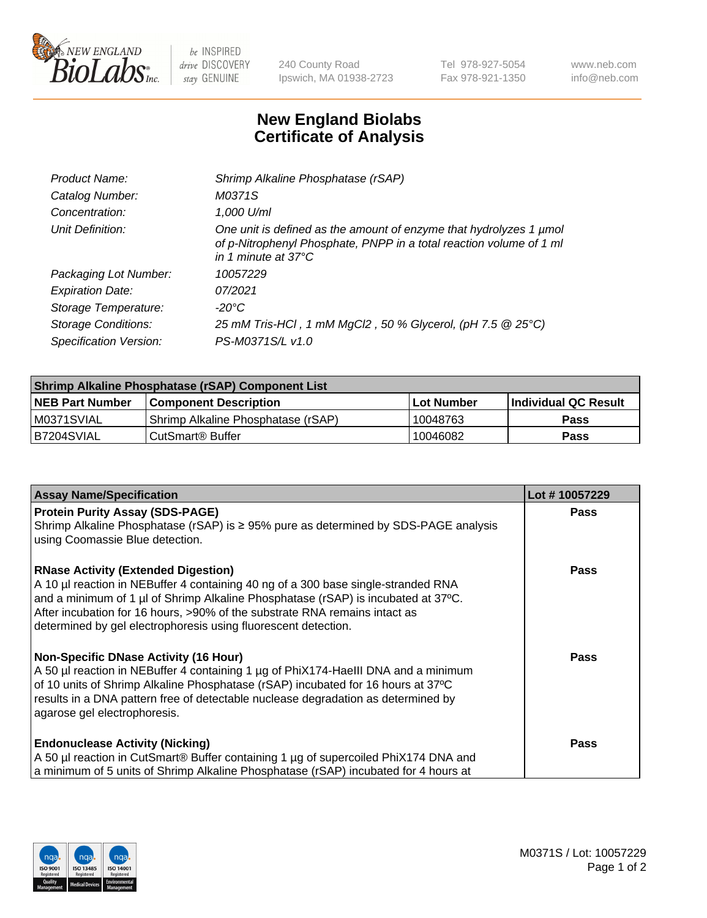

 $be$  INSPIRED drive DISCOVERY stay GENUINE

240 County Road Ipswich, MA 01938-2723 Tel 978-927-5054 Fax 978-921-1350 www.neb.com info@neb.com

## **New England Biolabs Certificate of Analysis**

| Product Name:              | Shrimp Alkaline Phosphatase (rSAP)                                                                                                                                         |
|----------------------------|----------------------------------------------------------------------------------------------------------------------------------------------------------------------------|
| Catalog Number:            | M0371S                                                                                                                                                                     |
| Concentration:             | 1,000 U/ml                                                                                                                                                                 |
| Unit Definition:           | One unit is defined as the amount of enzyme that hydrolyzes 1 µmol<br>of p-Nitrophenyl Phosphate, PNPP in a total reaction volume of 1 ml<br>in 1 minute at $37^{\circ}$ C |
| Packaging Lot Number:      | 10057229                                                                                                                                                                   |
| <b>Expiration Date:</b>    | 07/2021                                                                                                                                                                    |
| Storage Temperature:       | $-20^{\circ}$ C                                                                                                                                                            |
| <b>Storage Conditions:</b> | 25 mM Tris-HCl, 1 mM MgCl2, 50 % Glycerol, (pH 7.5 @ 25°C)                                                                                                                 |
| Specification Version:     | PS-M0371S/L v1.0                                                                                                                                                           |

| Shrimp Alkaline Phosphatase (rSAP) Component List |                                     |                   |                      |  |
|---------------------------------------------------|-------------------------------------|-------------------|----------------------|--|
| <b>NEB Part Number</b>                            | <b>Component Description</b>        | <b>Lot Number</b> | Individual QC Result |  |
| IM0371SVIAL                                       | 'Shrimp Alkaline Phosphatase (rSAP) | 10048763          | Pass                 |  |
| B7204SVIAL                                        | l CutSmart® Buffer                  | 10046082          | Pass                 |  |

| <b>Assay Name/Specification</b>                                                                                                                                                                                                                                                                                                                                      | Lot #10057229 |
|----------------------------------------------------------------------------------------------------------------------------------------------------------------------------------------------------------------------------------------------------------------------------------------------------------------------------------------------------------------------|---------------|
| <b>Protein Purity Assay (SDS-PAGE)</b><br>Shrimp Alkaline Phosphatase (rSAP) is ≥ 95% pure as determined by SDS-PAGE analysis<br>using Coomassie Blue detection.                                                                                                                                                                                                     | Pass          |
| <b>RNase Activity (Extended Digestion)</b><br>A 10 µl reaction in NEBuffer 4 containing 40 ng of a 300 base single-stranded RNA<br>and a minimum of 1 µl of Shrimp Alkaline Phosphatase (rSAP) is incubated at 37°C.<br>After incubation for 16 hours, >90% of the substrate RNA remains intact as<br>determined by gel electrophoresis using fluorescent detection. | Pass          |
| <b>Non-Specific DNase Activity (16 Hour)</b><br>A 50 µl reaction in NEBuffer 4 containing 1 µg of PhiX174-Haelll DNA and a minimum<br>of 10 units of Shrimp Alkaline Phosphatase (rSAP) incubated for 16 hours at 37°C<br>results in a DNA pattern free of detectable nuclease degradation as determined by<br>agarose gel electrophoresis.                          | <b>Pass</b>   |
| <b>Endonuclease Activity (Nicking)</b><br>A 50 µl reaction in CutSmart® Buffer containing 1 µg of supercoiled PhiX174 DNA and<br>a minimum of 5 units of Shrimp Alkaline Phosphatase (rSAP) incubated for 4 hours at                                                                                                                                                 | Pass          |